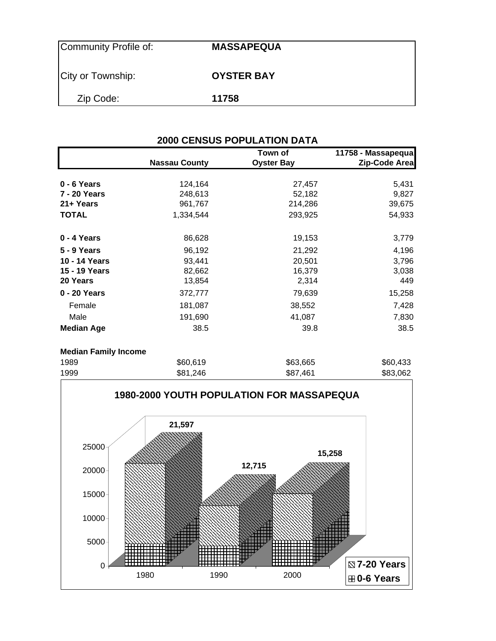| Community Profile of: | <b>MASSAPEQUA</b> |  |
|-----------------------|-------------------|--|
| City or Township:     | <b>OYSTER BAY</b> |  |
| Zip Code:             | 11758             |  |

## **2000 CENSUS POPULATION DATA**

|                             | <b>Nassau County</b> | Town of<br><b>Oyster Bay</b> | 11758 - Massapequa<br>Zip-Code Area |
|-----------------------------|----------------------|------------------------------|-------------------------------------|
| 0 - 6 Years                 | 124,164              | 27,457                       | 5,431                               |
| 7 - 20 Years                | 248,613              | 52,182                       | 9,827                               |
| 21+ Years                   | 961,767              | 214,286                      | 39,675                              |
| <b>TOTAL</b>                | 1,334,544            | 293,925                      | 54,933                              |
| 0 - 4 Years                 | 86,628               | 19,153                       | 3,779                               |
| 5 - 9 Years                 | 96,192               | 21,292                       | 4,196                               |
| 10 - 14 Years               | 93,441               | 20,501                       | 3,796                               |
| 15 - 19 Years               | 82,662               | 16,379                       | 3,038                               |
| 20 Years                    | 13,854               | 2,314                        | 449                                 |
| 0 - 20 Years                | 372,777              | 79,639                       | 15,258                              |
| Female                      | 181,087              | 38,552                       | 7,428                               |
| Male                        | 191,690              | 41,087                       | 7,830                               |
| <b>Median Age</b>           | 38.5                 | 39.8                         | 38.5                                |
| <b>Median Family Income</b> |                      |                              |                                     |
| 1989                        | \$60,619             | \$63,665                     | \$60,433                            |
| 1000                        | <b>CO1 010</b>       | 007.401                      | con con                             |

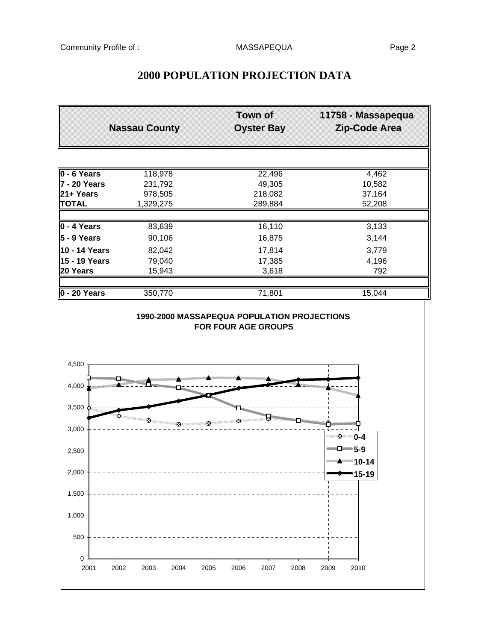| <b>Nassau County</b>                           |           | Town of<br><b>Oyster Bay</b>                                              | 11758 - Massapequa<br>Zip-Code Area              |
|------------------------------------------------|-----------|---------------------------------------------------------------------------|--------------------------------------------------|
|                                                |           |                                                                           |                                                  |
|                                                |           |                                                                           |                                                  |
| 0 - 6 Years                                    | 118,978   | 22,496                                                                    | 4,462                                            |
| 7 - 20 Years                                   | 231,792   | 49,305                                                                    | 10,582                                           |
| 21+ Years                                      | 978,505   | 218,082                                                                   | 37,164                                           |
| <b>TOTAL</b>                                   | 1,329,275 | 289,884                                                                   | 52,208                                           |
| $0 - 4$ Years                                  | 83,639    | 16,110                                                                    | 3,133                                            |
| 5 - 9 Years                                    | 90,106    | 16,875                                                                    | 3,144                                            |
| 10 - 14 Years                                  | 82,042    | 17,814                                                                    | 3,779                                            |
| 15 - 19 Years                                  | 79,040    | 17,385                                                                    | 4,196                                            |
| 20 Years                                       | 15,943    | 3,618                                                                     | 792                                              |
| $0 - 20$ Years                                 | 350,770   | 71,801                                                                    | 15,044                                           |
|                                                |           | 1990-2000 MASSAPEQUA POPULATION PROJECTIONS<br><b>FOR FOUR AGE GROUPS</b> |                                                  |
| 4,500                                          |           |                                                                           |                                                  |
|                                                |           |                                                                           | n <sub>manamanan a</sub>                         |
| Х.                                             | ×         | ×                                                                         |                                                  |
| 4,000<br>$3,500 \frac{1}{2}$<br>3,000<br>2,500 |           |                                                                           | ™⊻ 0-4<br>$\Box$ 5-9<br>""" <del>"</del> ""10-14 |
| 2,000                                          |           |                                                                           | 15-19                                            |
| 1,500                                          |           |                                                                           |                                                  |
| 1,000                                          |           |                                                                           |                                                  |
| 500                                            |           |                                                                           |                                                  |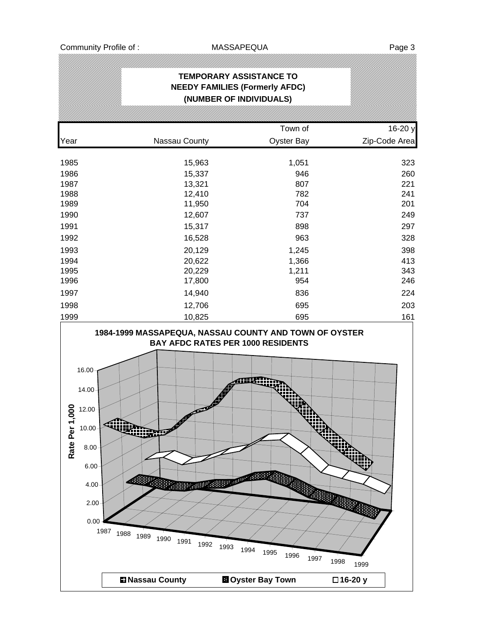|                                | <b>TEMPORARY ASSISTANCE TO</b><br><b>NEEDY FAMILIES (Formerly AFDC)</b><br>(NUMBER OF INDIVIDUALS) |                   |               |
|--------------------------------|----------------------------------------------------------------------------------------------------|-------------------|---------------|
|                                |                                                                                                    |                   |               |
|                                |                                                                                                    | Town of           | 16-20 y       |
| Year                           | Nassau County                                                                                      | <b>Oyster Bay</b> | Zip-Code Area |
| 1985                           | 15,963                                                                                             | 1,051             | 323           |
| 1986                           | 15,337                                                                                             | 946               | 260           |
| 1987                           | 13,321                                                                                             | 807               | 221           |
| 1988                           | 12,410                                                                                             | 782               | 241           |
| 1989                           | 11,950                                                                                             | 704               | 201           |
| 1990                           | 12,607                                                                                             | 737               | 249           |
| 1991                           | 15,317                                                                                             | 898               | 297           |
| 1992                           | 16,528                                                                                             | 963               | 328           |
| 1993                           | 20,129                                                                                             | 1,245             | 398           |
| 1994                           | 20,622                                                                                             | 1,366             | 413           |
| 1995                           | 20,229                                                                                             | 1,211             | 343           |
| 1996                           | 17,800                                                                                             | 954               | 246           |
| 1997                           | 14,940                                                                                             | 836               | 224           |
| 1998                           | 12,706                                                                                             | 695               | 203           |
| 1999                           | 10,825                                                                                             | 695               | 161           |
|                                | 1984-1999 MASSAPEQUA, NASSAU COUNTY AND TOWN OF OYSTER<br><b>BAY AFDC RATES PER 1000 RESIDENTS</b> |                   |               |
| 16.00<br>14.00<br>000<br>12.00 |                                                                                                    |                   |               |

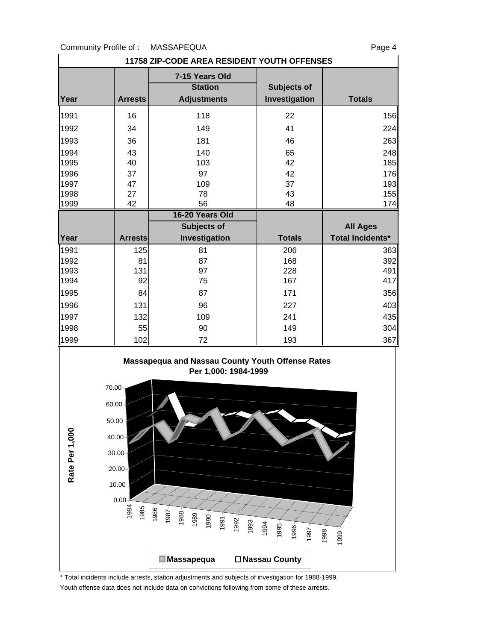

\* Total incidents include arrests, station adjustments and subjects of investigation for 1988-1999.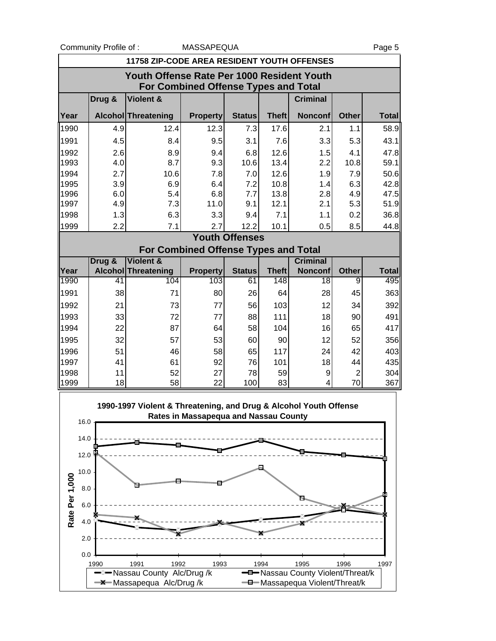0.0 2.0

|                                             | Community Profile of:                      |                                                                   | MASSAPEQUA                                  |                       |              |                 |                | Page 5       |  |  |  |  |
|---------------------------------------------|--------------------------------------------|-------------------------------------------------------------------|---------------------------------------------|-----------------------|--------------|-----------------|----------------|--------------|--|--|--|--|
| 11758 ZIP-CODE AREA RESIDENT YOUTH OFFENSES |                                            |                                                                   |                                             |                       |              |                 |                |              |  |  |  |  |
|                                             | Youth Offense Rate Per 1000 Resident Youth |                                                                   |                                             |                       |              |                 |                |              |  |  |  |  |
| <b>For Combined Offense Types and Total</b> |                                            |                                                                   |                                             |                       |              |                 |                |              |  |  |  |  |
|                                             | Drug &                                     | Violent &                                                         |                                             |                       |              | <b>Criminal</b> |                |              |  |  |  |  |
| Year                                        |                                            | Alcohol Threatening                                               | <b>Property</b>                             | <b>Status</b>         | <b>Theft</b> | <b>Nonconf</b>  | <b>Other</b>   | <b>Total</b> |  |  |  |  |
| 1990                                        | 4.9                                        | 12.4                                                              | 12.3                                        | 7.3                   | 17.6         | 2.1             | 1.1            | 58.9         |  |  |  |  |
| 1991                                        | 4.5                                        | 8.4                                                               | 9.5                                         | 3.1                   | 7.6          | 3.3             | 5.3            | 43.1         |  |  |  |  |
| 1992                                        | 2.6                                        | 8.9                                                               | 9.4                                         | 6.8                   | 12.6         | 1.5             | 4.1            | 47.8         |  |  |  |  |
| 1993                                        | 4.0                                        | 8.7                                                               | 9.3                                         | 10.6                  | 13.4         | 2.2             | 10.8           | 59.1         |  |  |  |  |
| 1994                                        | 2.7                                        | 10.6                                                              | 7.8                                         | 7.0                   | 12.6         | 1.9             | 7.9            | 50.6         |  |  |  |  |
| 1995                                        | 3.9                                        | 6.9                                                               | 6.4                                         | 7.2                   | 10.8         | 1.4             | 6.3            | 42.8         |  |  |  |  |
| 1996                                        | 6.0                                        | 5.4                                                               | 6.8                                         | 7.7                   | 13.8         | 2.8             | 4.9            | 47.5         |  |  |  |  |
| 1997                                        | 4.9                                        | 7.3                                                               | 11.0                                        | 9.1                   | 12.1         | 2.1             | 5.3            | 51.9         |  |  |  |  |
| 1998                                        | 1.3                                        | 6.3                                                               | 3.3                                         | 9.4                   | 7.1          | 1.1             | 0.2            | 36.8         |  |  |  |  |
| 1999                                        | 2.2                                        | 7.1                                                               | 2.7                                         | 12.2                  | 10.1         | 0.5             | 8.5            | 44.8         |  |  |  |  |
|                                             |                                            |                                                                   | <b>For Combined Offense Types and Total</b> | <b>Youth Offenses</b> |              |                 |                |              |  |  |  |  |
|                                             | Drug &                                     | Violent &                                                         |                                             |                       |              | <b>Criminal</b> |                |              |  |  |  |  |
| Year                                        |                                            | <b>Alcohol Threatening</b>                                        | <b>Property</b>                             | <b>Status</b>         | <b>Theft</b> | <b>Nonconf</b>  | <b>Other</b>   | <b>Total</b> |  |  |  |  |
| 1990                                        | 41                                         | 104                                                               | 103                                         | 61                    | 148          | $\overline{18}$ | 9              | 495          |  |  |  |  |
| 1991                                        | 38                                         | 71                                                                | 80                                          | 26                    | 64           | 28              | 45             | 363          |  |  |  |  |
| 1992                                        | 21                                         | 73                                                                | 77                                          | 56                    | 103          | 12              | 34             | 392          |  |  |  |  |
| 1993                                        | 33                                         | 72                                                                | 77                                          | 88                    | 111          | 18              | 90             | 491          |  |  |  |  |
| 1994                                        | 22                                         | 87                                                                | 64                                          | 58                    | 104          | 16              | 65             | 417          |  |  |  |  |
| 1995                                        | 32                                         | 57                                                                | 53                                          | 60                    | 90           | 12              | 52             | 356          |  |  |  |  |
| 1996                                        | 51                                         | 46                                                                | 58                                          | 65                    | 117          | 24              | 42             | 403          |  |  |  |  |
| 1997                                        | 41                                         | 61                                                                | 92                                          | 76                    | 101          | 18              | 44             | 435          |  |  |  |  |
| 1998                                        | 11                                         | 52                                                                | 27                                          | 78                    | 59           | 9               | $\overline{2}$ | 304          |  |  |  |  |
| 1999                                        | 18                                         | 58                                                                | 22                                          | 100                   | 83           | 4               | 70             | 367          |  |  |  |  |
|                                             |                                            | 1990-1997 Violent & Threatening, and Drug & Alcohol Youth Offense |                                             |                       |              |                 |                |              |  |  |  |  |
| 16.0                                        |                                            |                                                                   | Rates in Massapequa and Nassau County       |                       |              |                 |                |              |  |  |  |  |
|                                             |                                            |                                                                   |                                             |                       |              |                 |                |              |  |  |  |  |
| 14.0                                        |                                            |                                                                   |                                             |                       |              |                 |                |              |  |  |  |  |
| 12.0                                        |                                            |                                                                   |                                             |                       |              |                 |                |              |  |  |  |  |
| 10.0                                        |                                            |                                                                   |                                             |                       |              |                 |                |              |  |  |  |  |
| 8.0                                         |                                            |                                                                   |                                             |                       |              |                 |                |              |  |  |  |  |
| Rate Per 1,000<br>6.0                       |                                            |                                                                   |                                             |                       |              |                 |                |              |  |  |  |  |
|                                             |                                            |                                                                   |                                             |                       |              |                 |                |              |  |  |  |  |
| 4.0                                         |                                            |                                                                   |                                             |                       |              |                 |                |              |  |  |  |  |

1990 1991 1992 1993 1994 1995 1996 1997 Nassau County Alc/Drug /k **---**-- Nassau County Violent/Threat/k Massapequa Alc/Drug /k and Allentary Massapequa Violent/Threat/k

X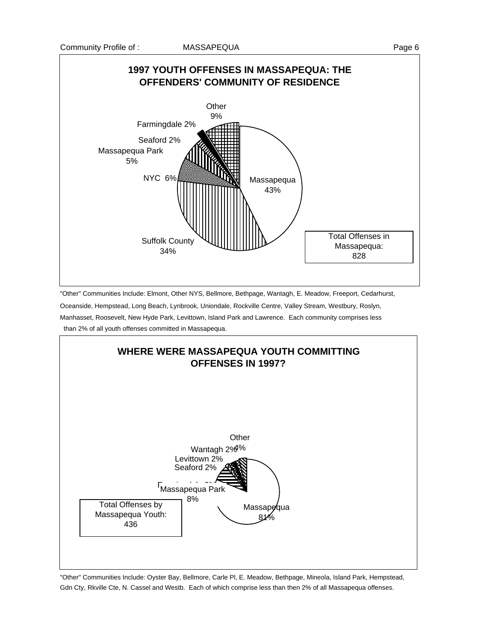

"Other" Communities Include: Elmont, Other NYS, Bellmore, Bethpage, Wantagh, E. Meadow, Freeport, Cedarhurst,

Oceanside, Hempstead, Long Beach, Lynbrook, Uniondale, Rockville Centre, Valley Stream, Westbury, Roslyn, Manhasset, Roosevelt, New Hyde Park, Levittown, Island Park and Lawrence. Each community comprises less than 2% of all youth offenses committed in Massapequa.



"Other" Communities Include: Oyster Bay, Bellmore, Carle Pl, E. Meadow, Bethpage, Mineola, Island Park, Hempstead, Gdn Cty, Rkville Cte, N. Cassel and Westb. Each of which comprise less than then 2% of all Massapequa offenses.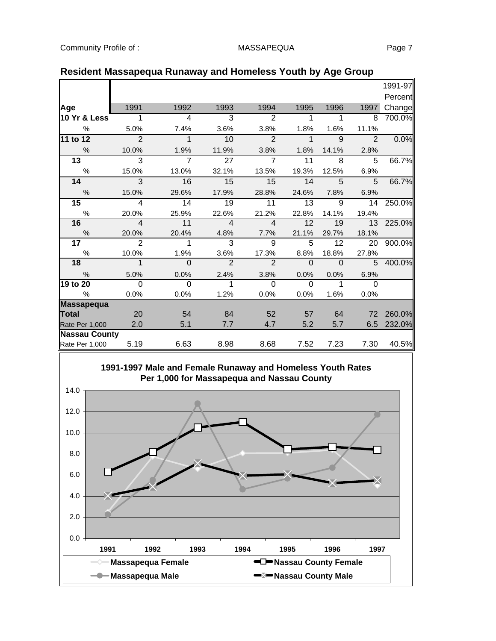|                      |                          |                |                 |                |              |              |               | 1991-97 |
|----------------------|--------------------------|----------------|-----------------|----------------|--------------|--------------|---------------|---------|
|                      |                          |                |                 |                |              |              |               | Percent |
| Age                  | 1991                     | 1992           | 1993            | 1994           | 1995         | 1996         | 1997          | Change  |
| 10 Yr & Less         | 1                        | 4              | 3               | $\overline{2}$ | 1            | 1            | 8             | 700.0%  |
| $\%$                 | 5.0%                     | 7.4%           | 3.6%            | 3.8%           | 1.8%         | 1.6%         | 11.1%         |         |
| 11 to 12             | $\overline{\mathcal{L}}$ | $\mathbf{1}$   | 10              | $\mathfrak{p}$ | $\mathbf{1}$ | $\mathbf{Q}$ | $\mathcal{P}$ | 0.0%    |
| $\frac{0}{0}$        | 10.0%                    | 1.9%           | 11.9%           | 3.8%           | 1.8%         | 14.1%        | 2.8%          |         |
| $\overline{13}$      | $\overline{3}$           | $\overline{7}$ | $\overline{27}$ | $\overline{7}$ | 11           | 8            | 5             | 66.7%   |
| $\frac{0}{0}$        | 15.0%                    | 13.0%          | 32.1%           | 13.5%          | 19.3%        | 12.5%        | 6.9%          |         |
| 14                   | 3                        | 16             | 15              | 15             | 14           | 5            | 5             | 66.7%   |
| $\frac{0}{0}$        | 15.0%                    | 29.6%          | 17.9%           | 28.8%          | 24.6%        | 7.8%         | 6.9%          |         |
| 15                   | $\overline{4}$           | 14             | 19              | 11             | 13           | 9            | 14            | 250.0%  |
| $\%$                 | 20.0%                    | 25.9%          | 22.6%           | 21.2%          | 22.8%        | 14.1%        | 19.4%         |         |
| 16                   | $\overline{4}$           | 11             | $\overline{4}$  | $\overline{4}$ | 12           | 19           | 13            | 225.0%  |
| $\frac{0}{6}$        | 20.0%                    | 20.4%          | 4.8%            | 7.7%           | 21.1%        | 29.7%        | 18.1%         |         |
| 17                   | $\overline{2}$           | 1              | 3               | 9              | 5            | 12           | 20            | 900.0%  |
| $\%$                 | 10.0%                    | 1.9%           | 3.6%            | 17.3%          | 8.8%         | 18.8%        | 27.8%         |         |
| 18                   | $\overline{1}$           | $\overline{0}$ | $\overline{2}$  | $\overline{2}$ | $\Omega$     | $\Omega$     | 5             | 400.0%  |
| $\frac{0}{0}$        | 5.0%                     | 0.0%           | 2.4%            | 3.8%           | 0.0%         | 0.0%         | 6.9%          |         |
| 19 to 20             | $\overline{0}$           | $\Omega$       | 1               | $\Omega$       | $\Omega$     | 1            | $\Omega$      |         |
| $\frac{0}{0}$        | 0.0%                     | 0.0%           | 1.2%            | 0.0%           | 0.0%         | 1.6%         | 0.0%          |         |
| <b>Massapequa</b>    |                          |                |                 |                |              |              |               |         |
| <b>Total</b>         | 20                       | 54             | 84              | 52             | 57           | 64           | 72            | 260.0%  |
| Rate Per 1,000       | 2.0                      | 5.1            | 7.7             | 4.7            | 5.2          | 5.7          | 6.5           | 232.0%  |
| <b>Nassau County</b> |                          |                |                 |                |              |              |               |         |
| Rate Per 1,000       | 5.19                     | 6.63           | 8.98            | 8.68           | 7.52         | 7.23         | 7.30          | 40.5%   |

## **Resident Massapequa Runaway and Homeless Youth by Age Group**

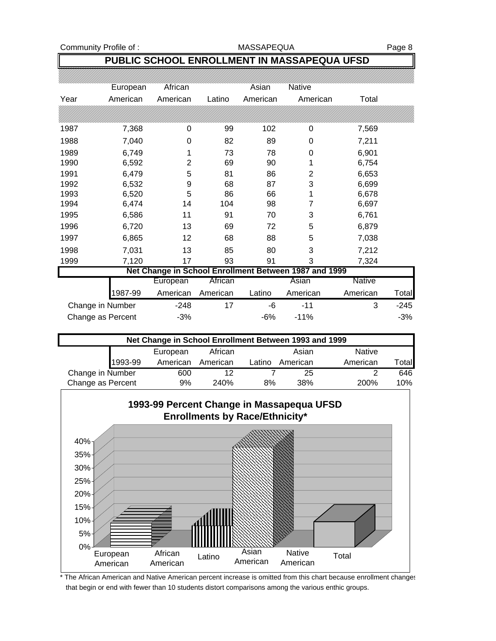Community Profile of : MASSAPEQUA MASSAPEQUA

## **PUBLIC SCHOOL ENROLLMENT IN MASSAPEQUA UFSD**

|                   | European | African  |          | Asian    | <b>Native</b>                                         |               |        |
|-------------------|----------|----------|----------|----------|-------------------------------------------------------|---------------|--------|
| Year              | American | American | Latino   | American | American                                              | Total         |        |
|                   |          |          |          |          |                                                       |               |        |
| 1987              | 7,368    | 0        | 99       | 102      | 0                                                     | 7,569         |        |
| 1988              | 7,040    | 0        | 82       | 89       | 0                                                     | 7,211         |        |
| 1989              | 6,749    |          | 73       | 78       | 0                                                     | 6,901         |        |
| 1990              | 6,592    | 2        | 69       | 90       | 1                                                     | 6,754         |        |
| 1991              | 6,479    | 5        | 81       | 86       | 2                                                     | 6,653         |        |
| 1992              | 6,532    | 9        | 68       | 87       | 3                                                     | 6,699         |        |
| 1993              | 6,520    | 5        | 86       | 66       | 1                                                     | 6,678         |        |
| 1994              | 6,474    | 14       | 104      | 98       | 7                                                     | 6,697         |        |
| 1995              | 6,586    | 11       | 91       | 70       | 3                                                     | 6,761         |        |
| 1996              | 6,720    | 13       | 69       | 72       | 5                                                     | 6,879         |        |
| 1997              | 6,865    | 12       | 68       | 88       | 5                                                     | 7,038         |        |
| 1998              | 7,031    | 13       | 85       | 80       | 3                                                     | 7,212         |        |
| 1999              | 7,120    | 17       | 93       | 91       | 3                                                     | 7,324         |        |
|                   |          |          |          |          | Net Change in School Enrollment Between 1987 and 1999 |               |        |
|                   |          | European | African  |          | Asian                                                 | <b>Native</b> |        |
|                   | 1987-99  | American | American | Latino   | American                                              | American      | Total  |
| Change in Number  |          | $-248$   | 17       | -6       | $-11$                                                 | 3             | $-245$ |
| Change as Percent |          | $-3%$    |          | $-6%$    | $-11%$                                                |               | $-3%$  |

| Net Change in School Enrollment Between 1993 and 1999 |         |          |          |        |          |               |        |  |  |  |
|-------------------------------------------------------|---------|----------|----------|--------|----------|---------------|--------|--|--|--|
|                                                       |         | European | African  |        | Asian    | <b>Native</b> |        |  |  |  |
|                                                       | 1993-99 | American | American | Latino | American | American      | Totall |  |  |  |
| Change in Number                                      |         | 600      | 12       |        | 25       | ◠             | 646    |  |  |  |
| Change as Percent                                     |         | 9%       | 240%     | 8%     | 38%      | <b>200%</b>   | 10%    |  |  |  |



The African American and Native American percent increase is omitted from this chart because enrollment changes that begin or end with fewer than 10 students distort comparisons among the various enthic groups.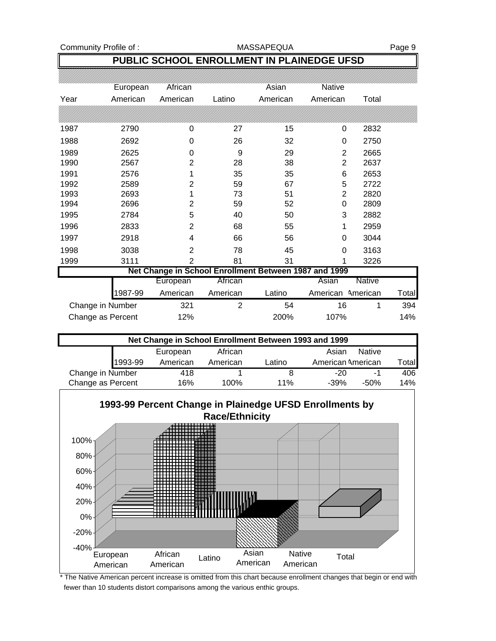Community Profile of : MASSAPEQUA MASSAPEQUA

## **PUBLIC SCHOOL ENROLLMENT IN PLAINEDGE UFSD**

|                   | European | African        |                | Asian                                                 | Native            |               |              |
|-------------------|----------|----------------|----------------|-------------------------------------------------------|-------------------|---------------|--------------|
| Year              | American | American       | Latino         | American                                              | American          | Total         |              |
|                   |          |                |                |                                                       |                   |               |              |
| 1987              | 2790     | 0              | 27             | 15                                                    | 0                 | 2832          |              |
| 1988              | 2692     | 0              | 26             | 32                                                    | 0                 | 2750          |              |
| 1989              | 2625     | 0              | 9              | 29                                                    | $\overline{2}$    | 2665          |              |
| 1990              | 2567     | $\overline{2}$ | 28             | 38                                                    | $\overline{2}$    | 2637          |              |
| 1991              | 2576     | 1              | 35             | 35                                                    | 6                 | 2653          |              |
| 1992              | 2589     | 2              | 59             | 67                                                    | 5                 | 2722          |              |
| 1993              | 2693     |                | 73             | 51                                                    | $\overline{2}$    | 2820          |              |
| 1994              | 2696     | 2              | 59             | 52                                                    | $\Omega$          | 2809          |              |
| 1995              | 2784     | 5              | 40             | 50                                                    | 3                 | 2882          |              |
| 1996              | 2833     | 2              | 68             | 55                                                    | 1                 | 2959          |              |
| 1997              | 2918     | 4              | 66             | 56                                                    | 0                 | 3044          |              |
| 1998              | 3038     | $\overline{2}$ | 78             | 45                                                    | $\Omega$          | 3163          |              |
| 1999              | 3111     | $\overline{2}$ | 81             | 31                                                    |                   | 3226          |              |
|                   |          |                |                | Net Change in School Enrollment Between 1987 and 1999 |                   |               |              |
|                   |          | European       | African        |                                                       | Asian             | <b>Native</b> |              |
|                   | 1987-99  | American       | American       | Latino                                                | American American |               | <b>Total</b> |
| Change in Number  |          | 321            | $\overline{2}$ | 54                                                    | 16                | 1             | 394          |
| Change as Percent |          | 12%            |                | 200%                                                  | 107%              |               | 14%          |

| Net Change in School Enrollment Between 1993 and 1999 |         |          |          |        |                   |               |       |  |  |  |
|-------------------------------------------------------|---------|----------|----------|--------|-------------------|---------------|-------|--|--|--|
|                                                       |         | European | African  |        | Asian             | <b>Native</b> |       |  |  |  |
|                                                       | 1993-99 | American | American | Latino | American American |               | Total |  |  |  |
| Change in Number                                      |         | 418      |          |        | -20               |               | 406   |  |  |  |
| Change as Percent                                     |         | 16%      | 100%     | 11%    | $-39%$            | -50%          | 14%   |  |  |  |



The Native American percent increase is omitted from this chart because enrollment changes that begin or end with fewer than 10 students distort comparisons among the various enthic groups.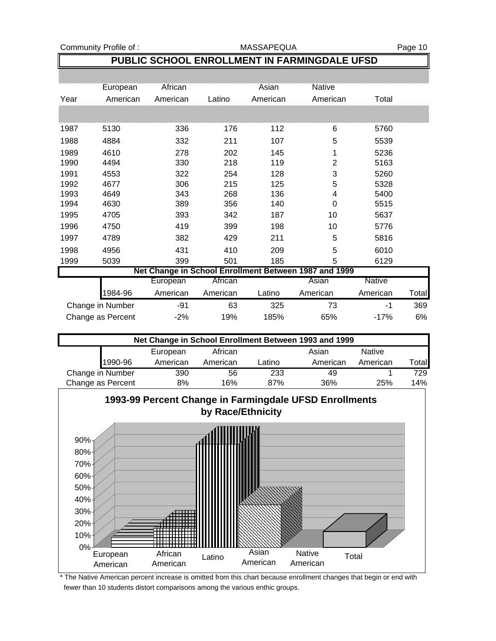Community Profile of : The MASSAPEQUA Rage 10

## **PUBLIC SCHOOL ENROLLMENT IN FARMINGDALE UFSD**

|      | European          | African  |          | Asian    | Native                                                |               |              |
|------|-------------------|----------|----------|----------|-------------------------------------------------------|---------------|--------------|
| Year | American          | American | Latino   | American | American                                              | Total         |              |
|      |                   |          |          |          |                                                       |               |              |
| 1987 | 5130              | 336      | 176      | 112      | 6                                                     | 5760          |              |
| 1988 | 4884              | 332      | 211      | 107      | 5                                                     | 5539          |              |
| 1989 | 4610              | 278      | 202      | 145      | 1                                                     | 5236          |              |
| 1990 | 4494              | 330      | 218      | 119      | $\overline{2}$                                        | 5163          |              |
| 1991 | 4553              | 322      | 254      | 128      | 3                                                     | 5260          |              |
| 1992 | 4677              | 306      | 215      | 125      | 5                                                     | 5328          |              |
| 1993 | 4649              | 343      | 268      | 136      | 4                                                     | 5400          |              |
| 1994 | 4630              | 389      | 356      | 140      | 0                                                     | 5515          |              |
| 1995 | 4705              | 393      | 342      | 187      | 10                                                    | 5637          |              |
| 1996 | 4750              | 419      | 399      | 198      | 10                                                    | 5776          |              |
| 1997 | 4789              | 382      | 429      | 211      | 5                                                     | 5816          |              |
| 1998 | 4956              | 431      | 410      | 209      | 5                                                     | 6010          |              |
| 1999 | 5039              | 399      | 501      | 185      | 5                                                     | 6129          |              |
|      |                   |          |          |          | Net Change in School Enrollment Between 1987 and 1999 |               |              |
|      |                   | European | African  |          | Asian                                                 | <b>Native</b> |              |
|      | 1984-96           | American | American | Latino   | American                                              | American      | <b>Total</b> |
|      | Change in Number  | $-91$    | 63       | 325      | 73                                                    | -1            | 369          |
|      | Change as Percent | $-2%$    | 19%      | 185%     | 65%                                                   | $-17%$        | 6%           |

| Net Change in School Enrollment Between 1993 and 1999 |          |          |        |          |               |       |  |  |
|-------------------------------------------------------|----------|----------|--------|----------|---------------|-------|--|--|
|                                                       | European | African  |        | Asian    | <b>Native</b> |       |  |  |
| 1990-96                                               | American | American | atino. | American | American      | Total |  |  |
| Change in Number                                      | 390      | 56       | 233    | 49       |               | 729   |  |  |
| Change as Percent                                     | 8%       | 16%      | 87%    | 36%      | 25%           | 14%   |  |  |

## **1993-99 Percent Change in Farmingdale UFSD Enrollments by Race/Ethnicity**



The Native American percent increase is omitted from this chart because enrollment changes that begin or end with fewer than 10 students distort comparisons among the various enthic groups.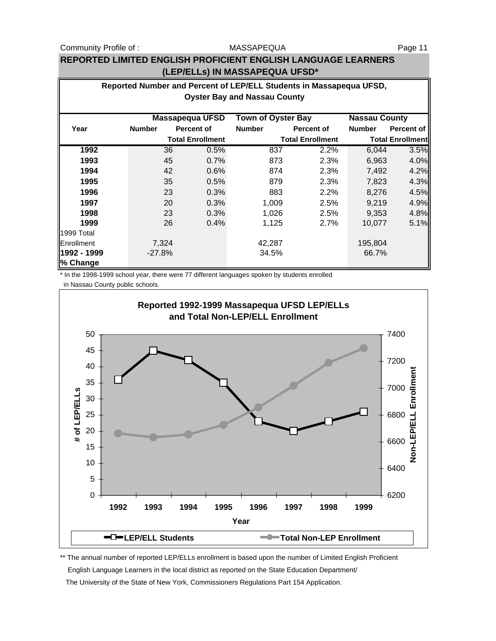Community Profile of : The MASSAPEQUA Community Profile of :

### MASSAPEQUA

## **REPORTED LIMITED ENGLISH PROFICIENT ENGLISH LANGUAGE LEARNERS (LEP/ELLs) IN MASSAPEQUA UFSD\***

| Reported Number and Percent of LEP/ELL Students in Massapequa UFSD,<br><b>Oyster Bay and Nassau County</b> |               |    |                         |                           |                         |                         |            |  |  |
|------------------------------------------------------------------------------------------------------------|---------------|----|-------------------------|---------------------------|-------------------------|-------------------------|------------|--|--|
|                                                                                                            |               |    |                         |                           |                         |                         |            |  |  |
|                                                                                                            |               |    | <b>Massapequa UFSD</b>  | <b>Town of Oyster Bay</b> |                         | <b>Nassau County</b>    |            |  |  |
| Year                                                                                                       | <b>Number</b> |    | Percent of              | <b>Number</b>             | Percent of              | <b>Number</b>           | Percent of |  |  |
|                                                                                                            |               |    | <b>Total Enrollment</b> |                           | <b>Total Enrollment</b> | <b>Total Enrollment</b> |            |  |  |
| 1992                                                                                                       |               | 36 | 0.5%                    | 837                       | 2.2%                    | 6,044                   | 3.5%       |  |  |
| 1993                                                                                                       |               | 45 | 0.7%                    | 873                       | 2.3%                    | 6,963                   | 4.0%       |  |  |
| 1994                                                                                                       |               | 42 | 0.6%                    | 874                       | 2.3%                    | 7,492                   | 4.2%       |  |  |
| 1995                                                                                                       |               | 35 | 0.5%                    | 879                       | 2.3%                    | 7,823                   | 4.3%       |  |  |
| 1996                                                                                                       |               | 23 | 0.3%                    | 883                       | 2.2%                    | 8,276                   | 4.5%       |  |  |
| 1997                                                                                                       |               | 20 | 0.3%                    | 1,009                     | 2.5%                    | 9,219                   | 4.9%       |  |  |
| 1998                                                                                                       |               | 23 | 0.3%                    | 1,026                     | 2.5%                    | 9,353                   | 4.8%       |  |  |
| 1999                                                                                                       |               | 26 | 0.4%                    | 1,125                     | 2.7%                    | 10,077                  | 5.1%       |  |  |
| 1999 Total                                                                                                 |               |    |                         |                           |                         |                         |            |  |  |
| Enrollment                                                                                                 | 7,324         |    |                         | 42,287                    |                         | 195,804                 |            |  |  |
| 1992 - 1999                                                                                                | $-27.8%$      |    |                         | 34.5%                     |                         | 66.7%                   |            |  |  |
| % Change                                                                                                   |               |    |                         |                           |                         |                         |            |  |  |

\* In the 1998-1999 school year, there were 77 different languages spoken by students enrolled in Nassau County public schools.



\*\* The annual number of reported LEP/ELLs enrollment is based upon the number of Limited English Proficient English Language Learners in the local district as reported on the State Education Department/

The University of the State of New York, Commissioners Regulations Part 154 Application.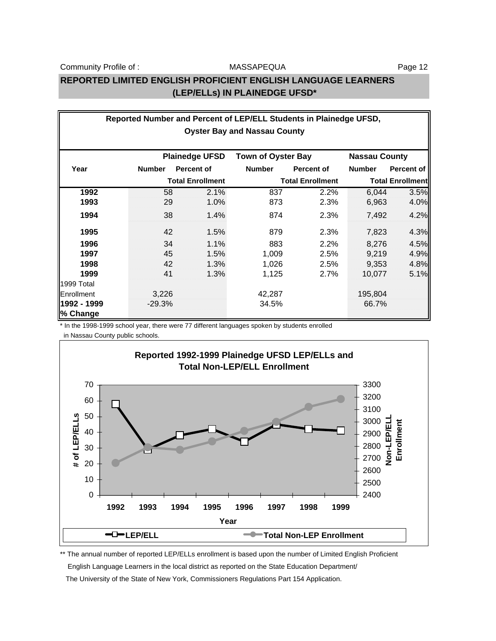## **REPORTED LIMITED ENGLISH PROFICIENT ENGLISH LANGUAGE LEARNERS (LEP/ELLs) IN PLAINEDGE UFSD\***

| Reported Number and Percent of LEP/ELL Students in Plainedge UFSD, |               |                         |                           |                         |                      |                         |  |  |
|--------------------------------------------------------------------|---------------|-------------------------|---------------------------|-------------------------|----------------------|-------------------------|--|--|
| <b>Oyster Bay and Nassau County</b>                                |               |                         |                           |                         |                      |                         |  |  |
|                                                                    |               |                         |                           |                         |                      |                         |  |  |
|                                                                    |               | <b>Plainedge UFSD</b>   | <b>Town of Oyster Bay</b> |                         | <b>Nassau County</b> |                         |  |  |
| Year                                                               | <b>Number</b> | <b>Percent of</b>       | <b>Number</b>             | <b>Percent of</b>       | <b>Number</b>        | Percent of              |  |  |
|                                                                    |               | <b>Total Enrollment</b> |                           | <b>Total Enrollment</b> |                      | <b>Total Enrollment</b> |  |  |
| 1992                                                               | 58            | 2.1%                    | 837                       | 2.2%                    | 6,044                | 3.5%                    |  |  |
| 1993                                                               | 29            | 1.0%                    | 873                       | 2.3%                    | 6,963                | 4.0%                    |  |  |
| 1994                                                               | 38            | 1.4%                    | 874                       | 2.3%                    | 7,492                | 4.2%                    |  |  |
| 1995                                                               | 42            | 1.5%                    | 879                       | 2.3%                    | 7,823                | 4.3%                    |  |  |
| 1996                                                               | 34            | 1.1%                    | 883                       | 2.2%                    | 8,276                | 4.5%                    |  |  |
| 1997                                                               | 45            | 1.5%                    | 1,009                     | 2.5%                    | 9,219                | 4.9%                    |  |  |
| 1998                                                               | 42            | 1.3%                    | 1,026                     | 2.5%                    | 9,353                | 4.8%                    |  |  |
| 1999                                                               | 41            | 1.3%                    | 1,125                     | 2.7%                    | 10,077               | 5.1%                    |  |  |
| 1999 Total                                                         |               |                         |                           |                         |                      |                         |  |  |
| Enrollment                                                         | 3,226         |                         | 42,287                    |                         | 195,804              |                         |  |  |
| 1992 - 1999                                                        | $-29.3%$      |                         | 34.5%                     |                         | 66.7%                |                         |  |  |
| % Change                                                           |               |                         |                           |                         |                      |                         |  |  |

\* In the 1998-1999 school year, there were 77 different languages spoken by students enrolled

in Nassau County public schools.



\*\* The annual number of reported LEP/ELLs enrollment is based upon the number of Limited English Proficient

English Language Learners in the local district as reported on the State Education Department/

The University of the State of New York, Commissioners Regulations Part 154 Application.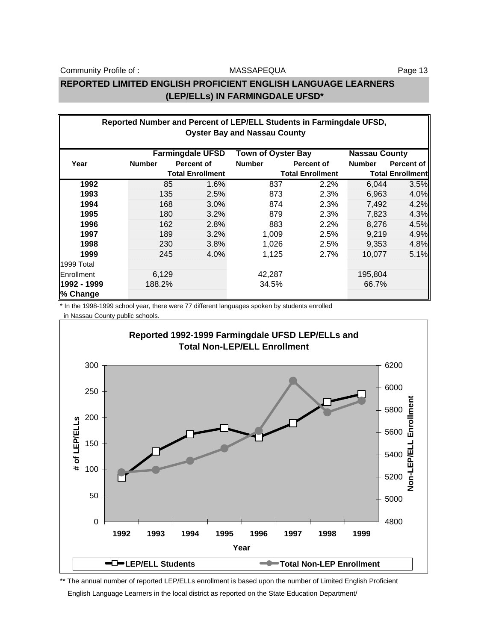MASSAPEQUA

## **REPORTED LIMITED ENGLISH PROFICIENT ENGLISH LANGUAGE LEARNERS (LEP/ELLs) IN FARMINGDALE UFSD\***

| Reported Number and Percent of LEP/ELL Students in Farmingdale UFSD,<br><b>Oyster Bay and Nassau County</b> |               |                         |               |                         |               |                         |  |  |  |
|-------------------------------------------------------------------------------------------------------------|---------------|-------------------------|---------------|-------------------------|---------------|-------------------------|--|--|--|
| <b>Farmingdale UFSD</b><br><b>Town of Oyster Bay</b><br><b>Nassau County</b>                                |               |                         |               |                         |               |                         |  |  |  |
| Year                                                                                                        | <b>Number</b> | Percent of              | <b>Number</b> | <b>Percent of</b>       | <b>Number</b> | Percent of              |  |  |  |
|                                                                                                             |               | <b>Total Enrollment</b> |               | <b>Total Enrollment</b> |               | <b>Total Enrollment</b> |  |  |  |
| 1992                                                                                                        | 85            | 1.6%                    | 837           | 2.2%                    | 6,044         | 3.5%                    |  |  |  |
| 1993                                                                                                        | 135           | 2.5%                    | 873           | 2.3%                    | 6,963         | 4.0%                    |  |  |  |
| 1994                                                                                                        | 168           | $3.0\%$                 | 874           | 2.3%                    | 7,492         | 4.2%                    |  |  |  |
| 1995                                                                                                        | 180           | 3.2%                    | 879           | 2.3%                    | 7,823         | 4.3%                    |  |  |  |
| 1996                                                                                                        | 162           | 2.8%                    | 883           | 2.2%                    | 8,276         | 4.5%                    |  |  |  |
| 1997                                                                                                        | 189           | 3.2%                    | 1,009         | 2.5%                    | 9,219         | 4.9%                    |  |  |  |
| 1998                                                                                                        | 230           | 3.8%                    | 1,026         | 2.5%                    | 9,353         | 4.8%                    |  |  |  |
| 1999                                                                                                        | 245           | 4.0%                    | 1,125         | 2.7%                    | 10,077        | 5.1%                    |  |  |  |
| 1999 Total                                                                                                  |               |                         |               |                         |               |                         |  |  |  |
| Enrollment                                                                                                  | 6,129         |                         | 42,287        |                         | 195,804       |                         |  |  |  |
| 1992 - 1999                                                                                                 | 188.2%        |                         | 34.5%         |                         | 66.7%         |                         |  |  |  |
| % Change                                                                                                    |               |                         |               |                         |               |                         |  |  |  |

\* In the 1998-1999 school year, there were 77 different languages spoken by students enrolled in Nassau County public schools.



\*\* The annual number of reported LEP/ELLs enrollment is based upon the number of Limited English Proficient

English Language Learners in the local district as reported on the State Education Department/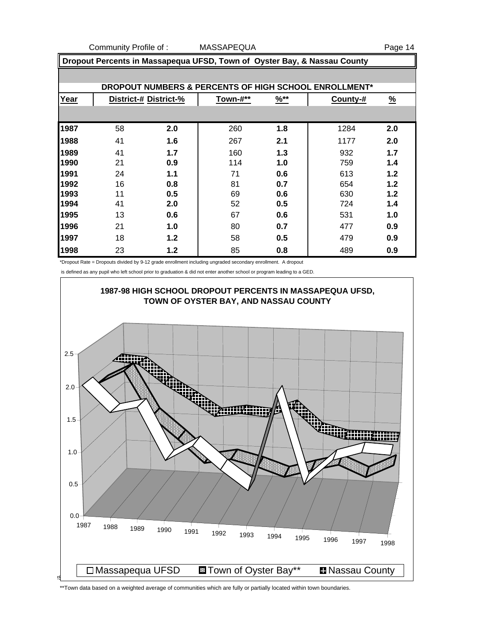Community Profile of : MASSAPEQUA **Page 14** 

| Dropout Percents in Massapequa UFSD, Town of Oyster Bay, & Nassau County |    |                       |          |                  |          |               |  |  |  |
|--------------------------------------------------------------------------|----|-----------------------|----------|------------------|----------|---------------|--|--|--|
|                                                                          |    |                       |          |                  |          |               |  |  |  |
| DROPOUT NUMBERS & PERCENTS OF HIGH SCHOOL ENROLLMENT*                    |    |                       |          |                  |          |               |  |  |  |
| Year                                                                     |    | District-# District-% | Town-#** | $\frac{96**}{8}$ | County-# | $\frac{9}{6}$ |  |  |  |
|                                                                          |    |                       |          |                  |          |               |  |  |  |
| 1987                                                                     | 58 | 2.0                   | 260      | 1.8              | 1284     | 2.0           |  |  |  |
| 1988                                                                     | 41 | 1.6                   | 267      | 2.1              | 1177     | 2.0           |  |  |  |
| 1989                                                                     | 41 | 1.7                   | 160      | 1.3              | 932      | 1.7           |  |  |  |
| 1990                                                                     | 21 | 0.9                   | 114      | 1.0              | 759      | 1.4           |  |  |  |
| 1991                                                                     | 24 | 1.1                   | 71       | 0.6              | 613      | 1.2           |  |  |  |
| 1992                                                                     | 16 | 0.8                   | 81       | 0.7              | 654      | 1.2           |  |  |  |
| 1993                                                                     | 11 | 0.5                   | 69       | 0.6              | 630      | 1.2           |  |  |  |
| 1994                                                                     | 41 | 2.0                   | 52       | 0.5              | 724      | 1.4           |  |  |  |
| 1995                                                                     | 13 | 0.6                   | 67       | 0.6              | 531      | 1.0           |  |  |  |
| 1996                                                                     | 21 | 1.0                   | 80       | 0.7              | 477      | 0.9           |  |  |  |
| 1997                                                                     | 18 | 1.2                   | 58       | 0.5              | 479      | 0.9           |  |  |  |
| 1998                                                                     | 23 | 1.2                   | 85       | 0.8              | 489      | 0.9           |  |  |  |

\*Dropout Rate = Dropouts divided by 9-12 grade enrollment including ungraded secondary enrollment. A dropout

is defined as any pupil who left school prior to graduation & did not enter another school or program leading to a GED.



\*\*Town data based on a weighted average of communities which are fully or partially located within town boundaries.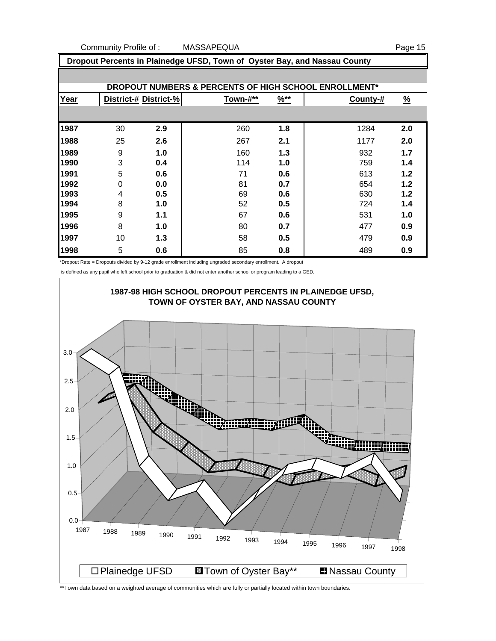Community Profile of : MASSAPEQUA **Page 15** 

 **Dropout Percents in Plainedge UFSD, Town of Oyster Bay, and Nassau County DROPOUT NUMBERS & PERCENTS OF HIGH SCHOOL ENROLLMENT\* Year District-# District-% Town-#\*\* %\*\* County-# %** 30 **2.9** 260 **1.8** 1284 **2.0** 25 **2.6** 267 **2.1** 1177 **2.0** 9 **1.0** 160 **1.3** 932 **1.7** 3 **0.4** 114 **1.0** 759 **1.4** 5 **0.6** 71 **0.6** 613 **1.2** 0 **0.0** 81 **0.7** 654 **1.2** 4 **0.5** 69 **0.6** 630 **1.2** 8 **1.0** 52 **0.5** 724 **1.4** 9 **1.1** 67 **0.6** 531 **1.0** 8 **1.0** 80 **0.7** 477 **0.9** 10 **1.3** 58 **0.5** 479 **0.9** 5 **0.6** 85 **0.8** 489 **0.9**

\*Dropout Rate = Dropouts divided by 9-12 grade enrollment including ungraded secondary enrollment. A dropout

is defined as any pupil who left school prior to graduation & did not enter another school or program leading to a GED.



\*\*Town data based on a weighted average of communities which are fully or partially located within town boundaries.

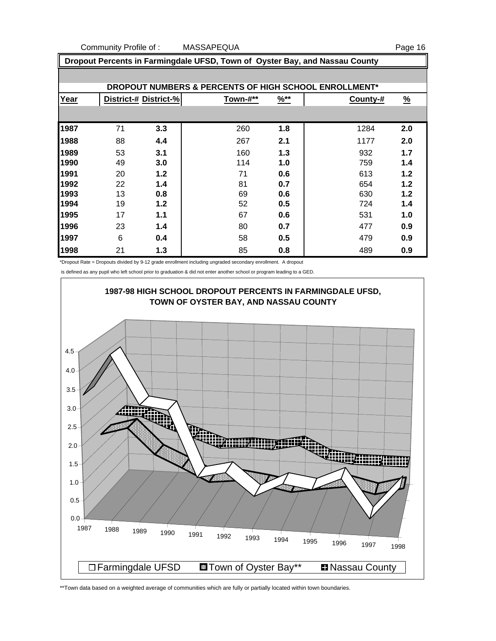Community Profile of : MASSAPEQUA **Page 16** 

 **Dropout Percents in Farmingdale UFSD, Town of Oyster Bay, and Nassau County DROPOUT NUMBERS & PERCENTS OF HIGH SCHOOL ENROLLMENT\* Year District-# District-% Town-#\*\* %\*\* County-# %** 71 **3.3** 260 **1.8** 1284 **2.0** 88 **4.4** 267 **2.1** 1177 **2.0** 53 **3.1** 160 **1.3** 932 **1.7** 49 **3.0** 114 **1.0** 759 **1.4** 20 **1.2** 71 **0.6** 613 **1.2** 22 **1.4** 81 **0.7** 654 **1.2** 13 **0.8** 69 **0.6** 630 **1.2** 19 **1.2** 52 **0.5** 724 **1.4** 17 **1.1** 67 **0.6** 531 **1.0** 23 **1.4** 80 **0.7** 477 **0.9** 6 **0.4** 58 **0.5** 479 **0.9** 21 **1.3** 85 **0.8** 489 **0.9**

\*Dropout Rate = Dropouts divided by 9-12 grade enrollment including ungraded secondary enrollment. A dropout

is defined as any pupil who left school prior to graduation & did not enter another school or program leading to a GED.



\*\*Town data based on a weighted average of communities which are fully or partially located within town boundaries.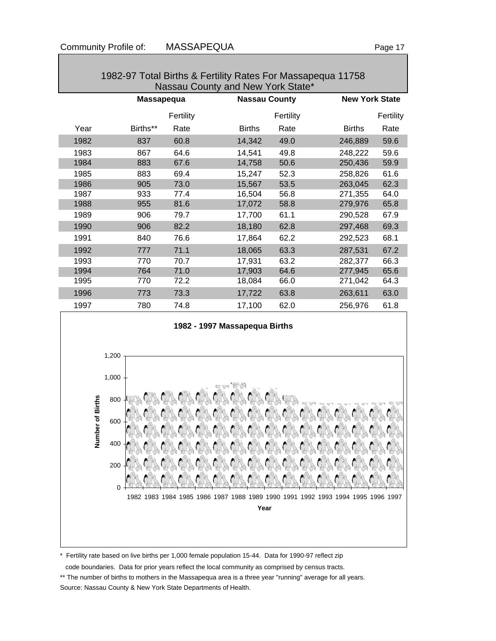| 1982-97 Total Births & Fertility Rates For Massapequa 11758<br>Nassau County and New York State* |          |                   |               |                      |                       |           |  |  |
|--------------------------------------------------------------------------------------------------|----------|-------------------|---------------|----------------------|-----------------------|-----------|--|--|
|                                                                                                  |          | <b>Massapequa</b> |               | <b>Nassau County</b> | <b>New York State</b> |           |  |  |
|                                                                                                  |          | Fertility         |               | Fertility            |                       | Fertility |  |  |
| Year                                                                                             | Births** | Rate              | <b>Births</b> | Rate                 | <b>Births</b>         | Rate      |  |  |
| 1982                                                                                             | 837      | 60.8              | 14,342        | 49.0                 | 246,889               | 59.6      |  |  |
| 1983                                                                                             | 867      | 64.6              | 14,541        | 49.8                 | 248,222               | 59.6      |  |  |
| 1984                                                                                             | 883      | 67.6              | 14,758        | 50.6                 | 250,436               | 59.9      |  |  |
| 1985                                                                                             | 883      | 69.4              | 15,247        | 52.3                 | 258,826               | 61.6      |  |  |
| 1986                                                                                             | 905      | 73.0              | 15,567        | 53.5                 | 263,045               | 62.3      |  |  |
| 1987                                                                                             | 933      | 77.4              | 16,504        | 56.8                 | 271,355               | 64.0      |  |  |
| 1988                                                                                             | 955      | 81.6              | 17,072        | 58.8                 | 279,976               | 65.8      |  |  |
| 1989                                                                                             | 906      | 79.7              | 17,700        | 61.1                 | 290,528               | 67.9      |  |  |
| 1990                                                                                             | 906      | 82.2              | 18,180        | 62.8                 | 297,468               | 69.3      |  |  |
| 1991                                                                                             | 840      | 76.6              | 17,864        | 62.2                 | 292,523               | 68.1      |  |  |
| 1992                                                                                             | 777      | 71.1              | 18,065        | 63.3                 | 287,531               | 67.2      |  |  |
| 1993                                                                                             | 770      | 70.7              | 17,931        | 63.2                 | 282,377               | 66.3      |  |  |
| 1994                                                                                             | 764      | 71.0              | 17,903        | 64.6                 | 277,945               | 65.6      |  |  |
| 1995                                                                                             | 770      | 72.2              | 18,084        | 66.0                 | 271,042               | 64.3      |  |  |
| 1996                                                                                             | 773      | 73.3              | 17,722        | 63.8                 | 263,611               | 63.0      |  |  |
| 1997                                                                                             | 780      | 74.8              | 17,100        | 62.0                 | 256,976               | 61.8      |  |  |



### \* Fertility rate based on live births per 1,000 female population 15-44. Data for 1990-97 reflect zip

code boundaries. Data for prior years reflect the local community as comprised by census tracts.

\*\* The number of births to mothers in the Massapequa area is a three year "running" average for all years. Source: Nassau County & New York State Departments of Health.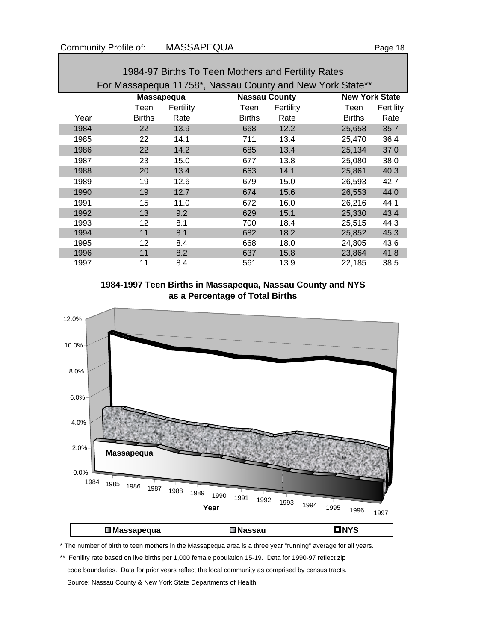| 1984-97 Births To Teen Mothers and Fertility Rates        |               |                   |                      |           |                       |           |  |  |
|-----------------------------------------------------------|---------------|-------------------|----------------------|-----------|-----------------------|-----------|--|--|
| For Massapequa 11758*, Nassau County and New York State** |               |                   |                      |           |                       |           |  |  |
|                                                           |               | <b>Massapequa</b> | <b>Nassau County</b> |           | <b>New York State</b> |           |  |  |
|                                                           | Teen          | Fertility         | Teen                 | Fertility | Teen                  | Fertility |  |  |
| Year                                                      | <b>Births</b> | Rate              | <b>Births</b>        | Rate      | <b>Births</b>         | Rate      |  |  |
| 1984                                                      | 22            | 13.9              | 668                  | 12.2      | 25,658                | 35.7      |  |  |
| 1985                                                      | 22            | 14.1              | 711                  | 13.4      | 25,470                | 36.4      |  |  |
| 1986                                                      | 22            | 14.2              | 685                  | 13.4      | 25,134                | 37.0      |  |  |
| 1987                                                      | 23            | 15.0              | 677                  | 13.8      | 25,080                | 38.0      |  |  |
| 1988                                                      | 20            | 13.4              | 663                  | 14.1      | 25,861                | 40.3      |  |  |
| 1989                                                      | 19            | 12.6              | 679                  | 15.0      | 26,593                | 42.7      |  |  |
| 1990                                                      | 19            | 12.7              | 674                  | 15.6      | 26,553                | 44.0      |  |  |
| 1991                                                      | 15            | 11.0              | 672                  | 16.0      | 26,216                | 44.1      |  |  |
| 1992                                                      | 13            | 9.2               | 629                  | 15.1      | 25,330                | 43.4      |  |  |
| 1993                                                      | 12            | 8.1               | 700                  | 18.4      | 25,515                | 44.3      |  |  |
| 1994                                                      | 11            | 8.1               | 682                  | 18.2      | 25,852                | 45.3      |  |  |
| 1995                                                      | 12            | 8.4               | 668                  | 18.0      | 24,805                | 43.6      |  |  |
| 1996                                                      | 11            | 8.2               | 637                  | 15.8      | 23,864                | 41.8      |  |  |
| 1997                                                      | 11            | 8.4               | 561                  | 13.9      | 22,185                | 38.5      |  |  |



\* The number of birth to teen mothers in the Massapequa area is a three year "running" average for all years.

\*\* Fertility rate based on live births per 1,000 female population 15-19. Data for 1990-97 reflect zip code boundaries. Data for prior years reflect the local community as comprised by census tracts. Source: Nassau County & New York State Departments of Health.